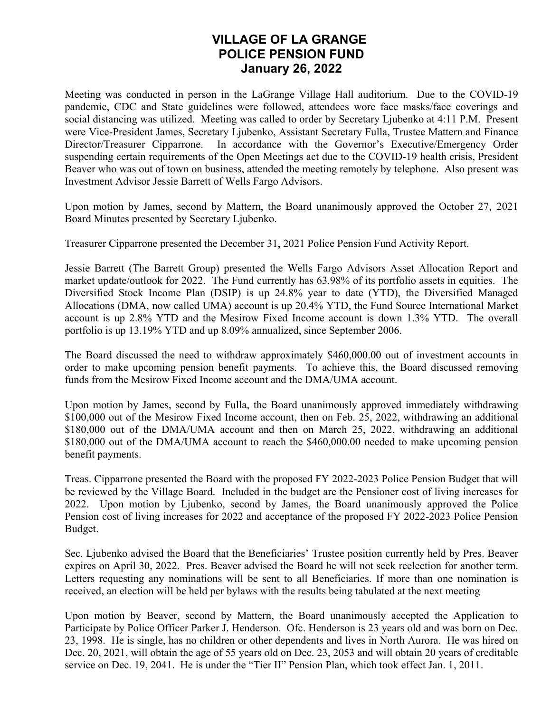## **VILLAGE OF LA GRANGE POLICE PENSION FUND January 26, 2022**

Meeting was conducted in person in the LaGrange Village Hall auditorium. Due to the COVID-19 pandemic, CDC and State guidelines were followed, attendees wore face masks/face coverings and social distancing was utilized. Meeting was called to order by Secretary Ljubenko at 4:11 P.M. Present were Vice-President James, Secretary Ljubenko, Assistant Secretary Fulla, Trustee Mattern and Finance Director/Treasurer Cipparrone. In accordance with the Governor's Executive/Emergency Order suspending certain requirements of the Open Meetings act due to the COVID-19 health crisis, President Beaver who was out of town on business, attended the meeting remotely by telephone. Also present was Investment Advisor Jessie Barrett of Wells Fargo Advisors.

Upon motion by James, second by Mattern, the Board unanimously approved the October 27, 2021 Board Minutes presented by Secretary Ljubenko.

Treasurer Cipparrone presented the December 31, 2021 Police Pension Fund Activity Report.

Jessie Barrett (The Barrett Group) presented the Wells Fargo Advisors Asset Allocation Report and market update/outlook for 2022. The Fund currently has 63.98% of its portfolio assets in equities. The Diversified Stock Income Plan (DSIP) is up 24.8% year to date (YTD), the Diversified Managed Allocations (DMA, now called UMA) account is up 20.4% YTD, the Fund Source International Market account is up 2.8% YTD and the Mesirow Fixed Income account is down 1.3% YTD. The overall portfolio is up 13.19% YTD and up 8.09% annualized, since September 2006.

The Board discussed the need to withdraw approximately \$460,000.00 out of investment accounts in order to make upcoming pension benefit payments. To achieve this, the Board discussed removing funds from the Mesirow Fixed Income account and the DMA/UMA account.

Upon motion by James, second by Fulla, the Board unanimously approved immediately withdrawing \$100,000 out of the Mesirow Fixed Income account, then on Feb. 25, 2022, withdrawing an additional \$180,000 out of the DMA/UMA account and then on March 25, 2022, withdrawing an additional \$180,000 out of the DMA/UMA account to reach the \$460,000.00 needed to make upcoming pension benefit payments.

Treas. Cipparrone presented the Board with the proposed FY 2022-2023 Police Pension Budget that will be reviewed by the Village Board. Included in the budget are the Pensioner cost of living increases for 2022. Upon motion by Ljubenko, second by James, the Board unanimously approved the Police Pension cost of living increases for 2022 and acceptance of the proposed FY 2022-2023 Police Pension Budget.

Sec. Ljubenko advised the Board that the Beneficiaries' Trustee position currently held by Pres. Beaver expires on April 30, 2022. Pres. Beaver advised the Board he will not seek reelection for another term. Letters requesting any nominations will be sent to all Beneficiaries. If more than one nomination is received, an election will be held per bylaws with the results being tabulated at the next meeting

Upon motion by Beaver, second by Mattern, the Board unanimously accepted the Application to Participate by Police Officer Parker J. Henderson. Ofc. Henderson is 23 years old and was born on Dec. 23, 1998. He is single, has no children or other dependents and lives in North Aurora. He was hired on Dec. 20, 2021, will obtain the age of 55 years old on Dec. 23, 2053 and will obtain 20 years of creditable service on Dec. 19, 2041. He is under the "Tier II" Pension Plan, which took effect Jan. 1, 2011.